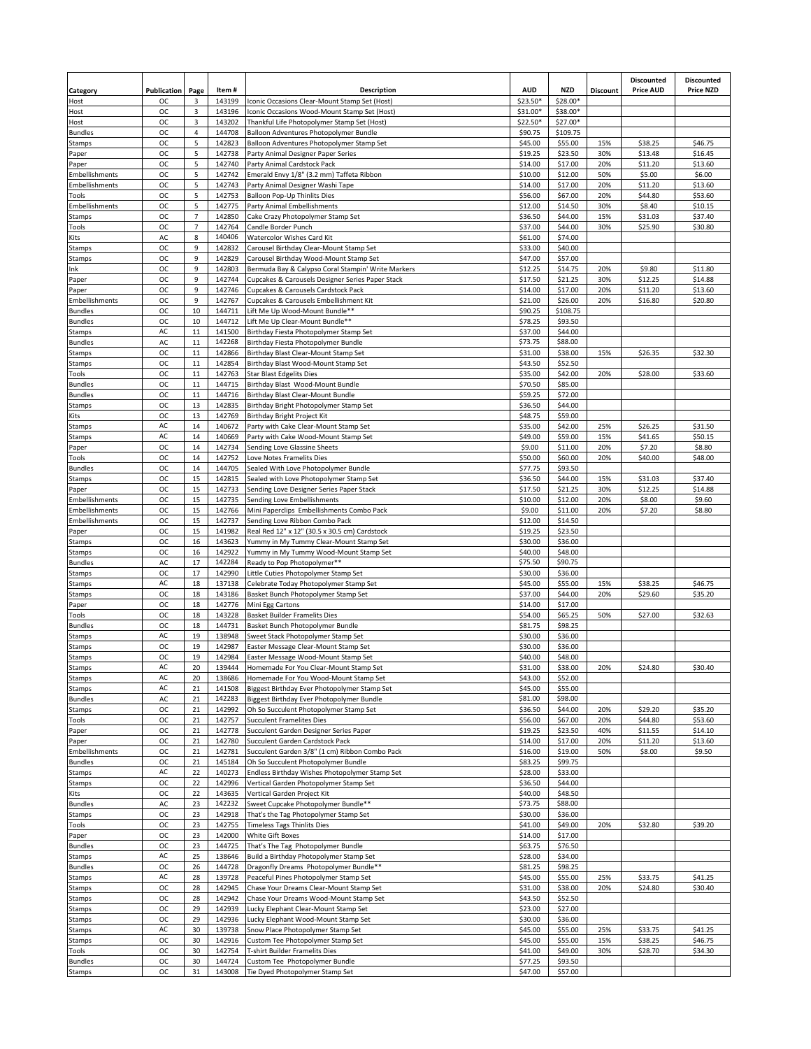| Category                 | Publication            | Page                | Item#            | <b>Description</b>                                                                        | <b>AUD</b>          | <b>NZD</b>          | Discount | <b>Discounted</b><br><b>Price AUD</b> | <b>Discounted</b><br><b>Price NZD</b> |
|--------------------------|------------------------|---------------------|------------------|-------------------------------------------------------------------------------------------|---------------------|---------------------|----------|---------------------------------------|---------------------------------------|
| Host                     | ОC                     | 3                   | 143199           | Iconic Occasions Clear-Mount Stamp Set (Host)                                             | \$23.50*            | \$28.00*            |          |                                       |                                       |
| Host                     | oc                     | 3                   | 143196           | Iconic Occasions Wood-Mount Stamp Set (Host)                                              | \$31.00*            | \$38.00*            |          |                                       |                                       |
| Host                     | <b>OC</b><br><b>OC</b> | 3<br>$\sqrt{4}$     | 143202<br>144708 | Thankful Life Photopolymer Stamp Set (Host)                                               | \$22.50*<br>\$90.75 | \$27.00*            |          |                                       |                                       |
| <b>Bundles</b><br>Stamps | <b>OC</b>              | 5                   | 142823           | Balloon Adventures Photopolymer Bundle<br>Balloon Adventures Photopolymer Stamp Set       | \$45.00             | \$109.75<br>\$55.00 | 15%      | \$38.25                               | \$46.75                               |
| Paper                    | OC                     | 5                   | 142738           | Party Animal Designer Paper Series                                                        | \$19.25             | \$23.50             | 30%      | \$13.48                               | \$16.45                               |
| Paper                    | oc                     | 5                   | 142740           | Party Animal Cardstock Pack                                                               | \$14.00             | \$17.00             | 20%      | \$11.20                               | \$13.60                               |
| Embellishments           | <b>OC</b>              | 5                   | 142742           | Emerald Envy 1/8" (3.2 mm) Taffeta Ribbon                                                 | \$10.00             | \$12.00             | 50%      | \$5.00                                | \$6.00                                |
| Embellishments           | <b>OC</b>              | 5                   | 142743           | Party Animal Designer Washi Tape                                                          | \$14.00             | \$17.00             | 20%      | \$11.20                               | \$13.60                               |
| Tools                    | oc                     | 5                   | 142753           | Balloon Pop-Up Thinlits Dies                                                              | \$56.00             | \$67.00             | 20%      | \$44.80                               | \$53.60                               |
| <b>Embellishments</b>    | <b>OC</b>              | 5                   | 142775           | Party Animal Embellishments                                                               | \$12.00             | \$14.50             | 30%      | \$8.40                                | \$10.15                               |
| Stamps                   | <b>OC</b>              | $\overline{7}$      | 142850           | Cake Crazy Photopolymer Stamp Set                                                         | \$36.50             | \$44.00             | 15%      | \$31.03                               | \$37.40                               |
| Tools                    | OC                     | $\overline{7}$<br>8 | 142764           | Candle Border Punch                                                                       | \$37.00             | \$44.00             | 30%      | \$25.90                               | \$30.80                               |
| Kits<br>Stamps           | AC<br><b>OC</b>        | 9                   | 140406<br>142832 | Watercolor Wishes Card Kit<br>Carousel Birthday Clear-Mount Stamp Set                     | \$61.00<br>\$33.00  | \$74.00<br>\$40.00  |          |                                       |                                       |
| Stamps                   | <b>OC</b>              | 9                   | 142829           | Carousel Birthday Wood-Mount Stamp Set                                                    | \$47.00             | \$57.00             |          |                                       |                                       |
| Ink                      | <b>OC</b>              | 9                   | 142803           | Bermuda Bay & Calypso Coral Stampin' Write Markers                                        | \$12.25             | \$14.75             | 20%      | \$9.80                                | \$11.80                               |
| Paper                    | ОC                     | 9                   | 142744           | Cupcakes & Carousels Designer Series Paper Stack                                          | \$17.50             | \$21.25             | 30%      | \$12.25                               | \$14.88                               |
| Paper                    | <b>OC</b>              | 9                   | 142746           | Cupcakes & Carousels Cardstock Pack                                                       | \$14.00             | \$17.00             | 20%      | \$11.20                               | \$13.60                               |
| Embellishments           | OC                     | 9                   | 142767           | Cupcakes & Carousels Embellishment Kit                                                    | \$21.00             | \$26.00             | 20%      | \$16.80                               | \$20.80                               |
| <b>Bundles</b>           | oc                     | 10                  | 144711           | Lift Me Up Wood-Mount Bundle**                                                            | \$90.25             | \$108.75            |          |                                       |                                       |
| <b>Bundles</b>           | ОC                     | 10                  | 144712           | Lift Me Up Clear-Mount Bundle**                                                           | \$78.25             | \$93.50             |          |                                       |                                       |
| Stamps                   | AC                     | 11                  | 141500           | Birthday Fiesta Photopolymer Stamp Set                                                    | \$37.00             | \$44.00             |          |                                       |                                       |
| <b>Bundles</b>           | AC                     | $11\,$              | 142268           | Birthday Fiesta Photopolymer Bundle                                                       | \$73.75             | \$88.00             |          |                                       |                                       |
| Stamps                   | <b>OC</b>              | 11                  | 142866           | Birthday Blast Clear-Mount Stamp Set                                                      | \$31.00             | \$38.00             | 15%      | \$26.35                               | \$32.30                               |
| Stamps                   | <b>OC</b>              | 11                  | 142854           | Birthday Blast Wood-Mount Stamp Set                                                       | \$43.50             | \$52.50             |          |                                       |                                       |
| Tools<br><b>Bundles</b>  | OC<br><b>OC</b>        | $11\,$<br>$11\,$    | 142763<br>144715 | <b>Star Blast Edgelits Dies</b><br>Birthday Blast Wood-Mount Bundle                       | \$35.00<br>\$70.50  | \$42.00<br>\$85.00  | 20%      | \$28.00                               | \$33.60                               |
| <b>Bundles</b>           | <b>OC</b>              | 11                  | 144716           | Birthday Blast Clear-Mount Bundle                                                         | \$59.25             | \$72.00             |          |                                       |                                       |
| Stamps                   | <b>OC</b>              | 13                  | 142835           | Birthday Bright Photopolymer Stamp Set                                                    | \$36.50             | \$44.00             |          |                                       |                                       |
| Kits                     | OC                     | 13                  | 142769           | Birthday Bright Project Kit                                                               | \$48.75             | \$59.00             |          |                                       |                                       |
| Stamps                   | AC                     | 14                  | 140672           | Party with Cake Clear-Mount Stamp Set                                                     | \$35.00             | \$42.00             | 25%      | \$26.25                               | \$31.50                               |
| Stamps                   | AC                     | 14                  | 140669           | Party with Cake Wood-Mount Stamp Set                                                      | \$49.00             | \$59.00             | 15%      | \$41.65                               | \$50.15                               |
| Paper                    | OC                     | 14                  | 142734           | Sending Love Glassine Sheets                                                              | \$9.00              | \$11.00             | 20%      | \$7.20                                | \$8.80                                |
| Tools                    | ОC                     | 14                  | 142752           | Love Notes Framelits Dies                                                                 | \$50.00             | \$60.00             | 20%      | \$40.00                               | \$48.00                               |
| <b>Bundles</b>           | <b>OC</b>              | 14                  | 144705           | Sealed With Love Photopolymer Bundle                                                      | \$77.75             | \$93.50             |          |                                       |                                       |
| Stamps                   | <b>OC</b>              | 15                  | 142815           | Sealed with Love Photopolymer Stamp Set                                                   | \$36.50             | \$44.00             | 15%      | \$31.03                               | \$37.40                               |
| Paper                    | OC                     | 15                  | 142733           | Sending Love Designer Series Paper Stack                                                  | \$17.50             | \$21.25             | 30%      | \$12.25                               | \$14.88                               |
| Embellishments           | <b>OC</b>              | 15                  | 142735           | Sending Love Embellishments                                                               | \$10.00             | \$12.00             | 20%      | \$8.00                                | \$9.60                                |
| Embellishments           | <b>OC</b>              | 15                  | 142766           | Mini Paperclips Embellishments Combo Pack                                                 | \$9.00              | \$11.00             | 20%      | \$7.20                                | \$8.80                                |
| Embellishments           | OC                     | 15                  | 142737           | Sending Love Ribbon Combo Pack                                                            | \$12.00             | \$14.50             |          |                                       |                                       |
| Paper                    | <b>OC</b><br>ОC        | 15                  | 141982           | Real Red 12" x 12" (30.5 x 30.5 cm) Cardstock                                             | \$19.25             | \$23.50             |          |                                       |                                       |
| Stamps<br>Stamps         | <b>OC</b>              | 16<br>16            | 143623<br>142922 | Yummy in My Tummy Clear-Mount Stamp Set<br>Yummy in My Tummy Wood-Mount Stamp Set         | \$30.00<br>\$40.00  | \$36.00<br>\$48.00  |          |                                       |                                       |
| <b>Bundles</b>           | AC                     | 17                  | 142284           | Ready to Pop Photopolymer**                                                               | \$75.50             | \$90.75             |          |                                       |                                       |
| Stamps                   | oc                     | 17                  | 142990           | Little Cuties Photopolymer Stamp Set                                                      | \$30.00             | \$36.00             |          |                                       |                                       |
| Stamps                   | AC                     | 18                  | 137138           | Celebrate Today Photopolymer Stamp Set                                                    | \$45.00             | \$55.00             | 15%      | \$38.25                               | \$46.75                               |
| Stamps                   | <b>OC</b>              | 18                  | 143186           | Basket Bunch Photopolymer Stamp Set                                                       | \$37.00             | \$44.00             | 20%      | \$29.60                               | \$35.20                               |
| Paper                    | oc                     | 18                  | 142776           | Mini Egg Cartons                                                                          | \$14.00             | \$17.00             |          |                                       |                                       |
| Tools                    | oc                     | 18                  | 143228           | <b>Basket Builder Framelits Dies</b>                                                      | \$54.00             | \$65.25             | 50%      | \$27.00                               | \$32.63                               |
| <b>Bundles</b>           | <b>OC</b>              | 18                  | 144731           | Basket Bunch Photopolymer Bundle                                                          | \$81.75             | \$98.25             |          |                                       |                                       |
| Stamps                   | AC                     | 19                  | 138948           | Sweet Stack Photopolymer Stamp Set                                                        | \$30.00             | \$36.00             |          |                                       |                                       |
| Stamps                   | <b>OC</b>              | 19                  | 142987           | Easter Message Clear-Mount Stamp Set                                                      | \$30.00             | \$36.00             |          |                                       |                                       |
| Stamps                   | ОC                     | 19                  | 142984           | Easter Message Wood-Mount Stamp Set                                                       | \$40.00             | \$48.00             |          |                                       |                                       |
| Stamps                   | AC.                    | 20                  | 139444           | Homemade For You Clear-Mount Stamp Set                                                    | \$31.00             | \$38.00             | 20%      | \$24.80                               | \$30.40                               |
| Stamps                   | AC                     | 20                  | 138686           | Homemade For You Wood-Mount Stamp Set                                                     | \$43.00             | \$52.00             |          |                                       |                                       |
| Stamps<br><b>Bundles</b> | AC<br>AC               | 21<br>21            | 141508<br>142283 | Biggest Birthday Ever Photopolymer Stamp Set<br>Biggest Birthday Ever Photopolymer Bundle | \$45.00<br>\$81.00  | \$55.00<br>\$98.00  |          |                                       |                                       |
| Stamps                   | OC                     | 21                  | 142992           | Oh So Succulent Photopolymer Stamp Set                                                    | \$36.50             | \$44.00             | 20%      | \$29.20                               | \$35.20                               |
| Tools                    | ОC                     | 21                  | 142757           | <b>Succulent Framelites Dies</b>                                                          | \$56.00             | \$67.00             | 20%      | \$44.80                               | \$53.60                               |
| Paper                    | <b>OC</b>              | 21                  | 142778           | Succulent Garden Designer Series Paper                                                    | \$19.25             | \$23.50             | 40%      | \$11.55                               | \$14.10                               |
| Paper                    | OC                     | 21                  | 142780           | Succulent Garden Cardstock Pack                                                           | \$14.00             | \$17.00             | 20%      | \$11.20                               | \$13.60                               |
| Embellishments           | OC                     | 21                  | 142781           | Succulent Garden 3/8" (1 cm) Ribbon Combo Pack                                            | \$16.00             | \$19.00             | 50%      | \$8.00                                | \$9.50                                |
| <b>Bundles</b>           | <b>OC</b>              | 21                  | 145184           | Oh So Succulent Photopolymer Bundle                                                       | \$83.25             | \$99.75             |          |                                       |                                       |
| Stamps                   | AC                     | 22                  | 140273           | Endless Birthday Wishes Photopolymer Stamp Set                                            | \$28.00             | \$33.00             |          |                                       |                                       |
| Stamps                   | OC                     | 22                  | 142996           | Vertical Garden Photopolymer Stamp Set                                                    | \$36.50             | \$44.00             |          |                                       |                                       |
| Kits                     | oc                     | 22                  | 143635           | Vertical Garden Project Kit                                                               | \$40.00             | \$48.50             |          |                                       |                                       |
| <b>Bundles</b>           | AC                     | 23                  | 142232           | Sweet Cupcake Photopolymer Bundle**                                                       | \$73.75             | \$88.00             |          |                                       |                                       |
| Stamps                   | OC                     | 23                  | 142918           | That's the Tag Photopolymer Stamp Set                                                     | \$30.00             | \$36.00             |          |                                       |                                       |
| Tools                    | OC                     | 23                  | 142755           | <b>Timeless Tags Thinlits Dies</b>                                                        | \$41.00             | \$49.00             | 20%      | \$32.80                               | \$39.20                               |
| Paper<br><b>Bundles</b>  | oc<br><b>OC</b>        | 23<br>23            | 142000<br>144725 | White Gift Boxes<br>That's The Tag Photopolymer Bundle                                    | \$14.00<br>\$63.75  | \$17.00<br>\$76.50  |          |                                       |                                       |
| Stamps                   | AC                     | 25                  | 138646           | Build a Birthday Photopolymer Stamp Set                                                   | \$28.00             | \$34.00             |          |                                       |                                       |
| <b>Bundles</b>           | oc                     | 26                  | 144728           | Dragonfly Dreams Photopolymer Bundle**                                                    | \$81.25             | \$98.25             |          |                                       |                                       |
| Stamps                   | AC                     | 28                  | 139728           | Peaceful Pines Photopolymer Stamp Set                                                     | \$45.00             | \$55.00             | 25%      | \$33.75                               | \$41.25                               |
| Stamps                   | OC                     | 28                  | 142945           | Chase Your Dreams Clear-Mount Stamp Set                                                   | \$31.00             | \$38.00             | 20%      | \$24.80                               | \$30.40                               |
| Stamps                   | ОC                     | 28                  | 142942           | Chase Your Dreams Wood-Mount Stamp Set                                                    | \$43.50             | \$52.50             |          |                                       |                                       |
| Stamps                   | <b>OC</b>              | 29                  | 142939           | Lucky Elephant Clear-Mount Stamp Set                                                      | \$23.00             | \$27.00             |          |                                       |                                       |
| Stamps                   | ОC                     | 29                  | 142936           | Lucky Elephant Wood-Mount Stamp Set                                                       | \$30.00             | \$36.00             |          |                                       |                                       |
| Stamps                   | AC                     | 30                  | 139738           | Snow Place Photopolymer Stamp Set                                                         | \$45.00             | \$55.00             | 25%      | \$33.75                               | \$41.25                               |
| Stamps                   | OC                     | 30                  | 142916           | Custom Tee Photopolymer Stamp Set                                                         | \$45.00             | \$55.00             | 15%      | \$38.25                               | \$46.75                               |
| Tools                    | oc                     | 30                  | 142754           | T-shirt Builder Framelits Dies                                                            | \$41.00             | \$49.00             | 30%      | \$28.70                               | \$34.30                               |
| <b>Bundles</b>           | OC                     | 30                  | 144724           | Custom Tee Photopolymer Bundle                                                            | \$77.25             | \$93.50             |          |                                       |                                       |
| Stamps                   | OC                     | 31                  | 143008           | Tie Dyed Photopolymer Stamp Set                                                           | \$47.00             | \$57.00             |          |                                       |                                       |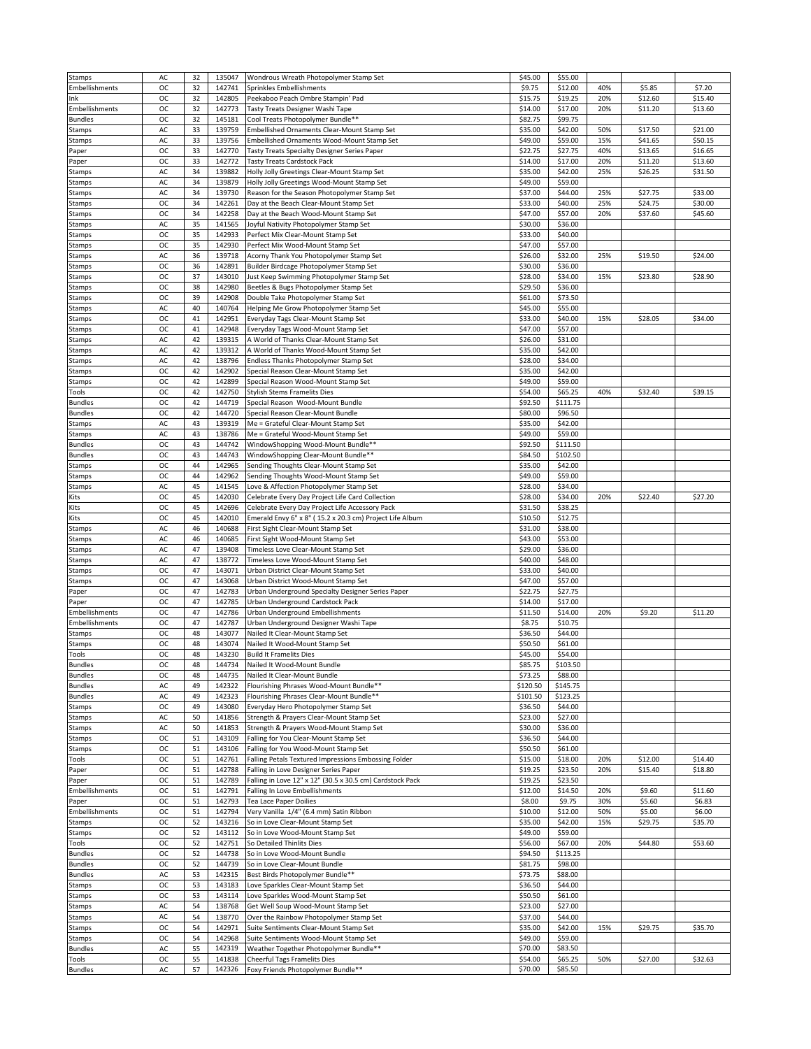| <b>Stamps</b>           | AC        | 32       | 135047           | Wondrous Wreath Photopolymer Stamp Set                             | \$45.00            | \$55.00            |     |         |         |
|-------------------------|-----------|----------|------------------|--------------------------------------------------------------------|--------------------|--------------------|-----|---------|---------|
| Embellishments          | <b>OC</b> | 32       | 142741           | Sprinkles Embellishments                                           | \$9.75             | \$12.00            | 40% | \$5.85  | \$7.20  |
| Ink                     | ОC        | 32       | 142805           | Peekaboo Peach Ombre Stampin' Pad                                  | \$15.75            | \$19.25            | 20% | \$12.60 | \$15.40 |
|                         |           |          |                  |                                                                    |                    |                    |     |         |         |
| Embellishments          | ОC        | 32       | 142773           | Tasty Treats Designer Washi Tape                                   | \$14.00            | \$17.00            | 20% | \$11.20 | \$13.60 |
| <b>Bundles</b>          | oc        | 32       | 145181           | Cool Treats Photopolymer Bundle**                                  | \$82.75            | \$99.75            |     |         |         |
| Stamps                  | AC        | 33       | 139759           | Embellished Ornaments Clear-Mount Stamp Set                        | \$35.00            | \$42.00            | 50% | \$17.50 | \$21.00 |
| Stamps                  | AC        | 33       | 139756           | Embellished Ornaments Wood-Mount Stamp Set                         | \$49.00            | \$59.00            | 15% | \$41.65 | \$50.15 |
| Paper                   | OC        | 33       | 142770           | Tasty Treats Specialty Designer Series Paper                       | \$22.75            | \$27.75            | 40% | \$13.65 | \$16.65 |
|                         |           |          |                  |                                                                    |                    |                    |     |         |         |
| Paper                   | <b>OC</b> | 33       | 142772           | <b>Tasty Treats Cardstock Pack</b>                                 | \$14.00            | \$17.00            | 20% | \$11.20 | \$13.60 |
| Stamps                  | AC        | 34       | 139882           | Holly Jolly Greetings Clear-Mount Stamp Set                        | \$35.00            | \$42.00            | 25% | \$26.25 | \$31.50 |
| Stamps                  | AC        | 34       | 139879           | Holly Jolly Greetings Wood-Mount Stamp Set                         | \$49.00            | \$59.00            |     |         |         |
| Stamps                  | AC        | 34       | 139730           | Reason for the Season Photopolymer Stamp Set                       | \$37.00            | \$44.00            | 25% | \$27.75 | \$33.00 |
| Stamps                  | <b>OC</b> | 34       | 142261           | Day at the Beach Clear-Mount Stamp Set                             | \$33.00            | \$40.00            | 25% | \$24.75 | \$30.00 |
|                         |           |          |                  |                                                                    |                    |                    |     |         |         |
| Stamps                  | <b>OC</b> | 34       | 142258           | Day at the Beach Wood-Mount Stamp Set                              | \$47.00            | \$57.00            | 20% | \$37.60 | \$45.60 |
| Stamps                  | AC        | 35       | 141565           | Joyful Nativity Photopolymer Stamp Set                             | \$30.00            | \$36.00            |     |         |         |
| Stamps                  | OC        | 35       | 142933           | Perfect Mix Clear-Mount Stamp Set                                  | \$33.00            | \$40.00            |     |         |         |
| Stamps                  | <b>OC</b> | 35       | 142930           | Perfect Mix Wood-Mount Stamp Set                                   | \$47.00            | \$57.00            |     |         |         |
| Stamps                  | AC        | 36       | 139718           | Acorny Thank You Photopolymer Stamp Set                            | \$26.00            | \$32.00            | 25% | \$19.50 | \$24.00 |
|                         |           |          |                  |                                                                    |                    |                    |     |         |         |
| Stamps                  | OC        | 36       | 142891           | Builder Birdcage Photopolymer Stamp Set                            | \$30.00            | \$36.00            |     |         |         |
| Stamps                  | <b>OC</b> | 37       | 143010           | Just Keep Swimming Photopolymer Stamp Set                          | \$28.00            | \$34.00            | 15% | \$23.80 | \$28.90 |
| Stamps                  | <b>OC</b> | 38       | 142980           | Beetles & Bugs Photopolymer Stamp Set                              | \$29.50            | \$36.00            |     |         |         |
| Stamps                  | ОC        | 39       | 142908           | Double Take Photopolymer Stamp Set                                 | \$61.00            | \$73.50            |     |         |         |
| Stamps                  | AC        | 40       | 140764           | Helping Me Grow Photopolymer Stamp Set                             | \$45.00            | \$55.00            |     |         |         |
|                         |           |          |                  |                                                                    |                    |                    |     |         |         |
| Stamps                  | <b>OC</b> | 41       | 142951           | Everyday Tags Clear-Mount Stamp Set                                | \$33.00            | \$40.00            | 15% | \$28.05 | \$34.00 |
| Stamps                  | ОC        | 41       | 142948           | Everyday Tags Wood-Mount Stamp Set                                 | \$47.00            | \$57.00            |     |         |         |
| Stamps                  | AC        | 42       | 139315           | A World of Thanks Clear-Mount Stamp Set                            | \$26.00            | \$31.00            |     |         |         |
| Stamps                  | AC        | 42       | 139312           | A World of Thanks Wood-Mount Stamp Set                             | \$35.00            | \$42.00            |     |         |         |
| Stamps                  | AC        | 42       | 138796           | Endless Thanks Photopolymer Stamp Set                              | \$28.00            | \$34.00            |     |         |         |
|                         |           |          |                  |                                                                    |                    |                    |     |         |         |
| Stamps                  | OC        | 42       | 142902           | Special Reason Clear-Mount Stamp Set                               | \$35.00            | \$42.00            |     |         |         |
| Stamps                  | oc        | 42       | 142899           | Special Reason Wood-Mount Stamp Set                                | \$49.00            | \$59.00            |     |         |         |
| Tools                   | OC        | 42       | 142750           | <b>Stylish Stems Framelits Dies</b>                                | \$54.00            | \$65.25            | 40% | \$32.40 | \$39.15 |
| <b>Bundles</b>          | <b>OC</b> | 42       | 144719           | Special Reason Wood-Mount Bundle                                   | \$92.50            | \$111.75           |     |         |         |
|                         |           |          |                  |                                                                    |                    |                    |     |         |         |
| <b>Bundles</b>          | ОC        | 42       | 144720           | Special Reason Clear-Mount Bundle                                  | \$80.00            | \$96.50            |     |         |         |
| Stamps                  | AC        | 43       | 139319           | Me = Grateful Clear-Mount Stamp Set                                | \$35.00            | \$42.00            |     |         |         |
| Stamps                  | AC        | 43       | 138786           | Me = Grateful Wood-Mount Stamp Set                                 | \$49.00            | \$59.00            |     |         |         |
| <b>Bundles</b>          | OC        | 43       | 144742           | WindowShopping Wood-Mount Bundle**                                 | \$92.50            | \$111.50           |     |         |         |
|                         | <b>OC</b> |          |                  |                                                                    |                    |                    |     |         |         |
| <b>Bundles</b>          |           | 43       | 144743           | WindowShopping Clear-Mount Bundle**                                | \$84.50            | \$102.50           |     |         |         |
| Stamps                  | <b>OC</b> | 44       | 142965           | Sending Thoughts Clear-Mount Stamp Set                             | \$35.00            | \$42.00            |     |         |         |
| Stamps                  | <b>OC</b> | 44       | 142962           | Sending Thoughts Wood-Mount Stamp Set                              | \$49.00            | \$59.00            |     |         |         |
| Stamps                  | AC        | 45       | 141545           | Love & Affection Photopolymer Stamp Set                            | \$28.00            | \$34.00            |     |         |         |
| Kits                    | ОC        | 45       | 142030           | Celebrate Every Day Project Life Card Collection                   | \$28.00            | \$34.00            | 20% | \$22.40 | \$27.20 |
|                         |           |          |                  |                                                                    |                    |                    |     |         |         |
| Kits                    | <b>OC</b> | 45       | 142696           | Celebrate Every Day Project Life Accessory Pack                    | \$31.50            | \$38.25            |     |         |         |
| Kits                    | OC        | 45       | 142010           | Emerald Envy 6" x 8" (15.2 x 20.3 cm) Project Life Album           | \$10.50            | \$12.75            |     |         |         |
| Stamps                  | AC        | 46       | 140688           | First Sight Clear-Mount Stamp Set                                  | \$31.00            | \$38.00            |     |         |         |
|                         |           |          |                  |                                                                    |                    |                    |     |         |         |
|                         |           |          |                  |                                                                    |                    |                    |     |         |         |
| Stamps                  | AC        | 46       | 140685           | First Sight Wood-Mount Stamp Set                                   | \$43.00            | \$53.00            |     |         |         |
| Stamps                  | AC        | 47       | 139408           | Timeless Love Clear-Mount Stamp Set                                | \$29.00            | \$36.00            |     |         |         |
| Stamps                  | AC        | 47       | 138772           | Timeless Love Wood-Mount Stamp Set                                 | \$40.00            | \$48.00            |     |         |         |
| Stamps                  | <b>OC</b> | 47       | 143071           | Urban District Clear-Mount Stamp Set                               | \$33.00            | \$40.00            |     |         |         |
|                         |           |          |                  |                                                                    |                    |                    |     |         |         |
| Stamps                  | <b>OC</b> | 47       | 143068           | Urban District Wood-Mount Stamp Set                                | \$47.00            | \$57.00            |     |         |         |
| Paper                   | ОC        | 47       | 142783           | Urban Underground Specialty Designer Series Paper                  | \$22.75            | \$27.75            |     |         |         |
| Paper                   | <b>OC</b> | 47       | 142785           | Urban Underground Cardstock Pack                                   | \$14.00            | \$17.00            |     |         |         |
| Embellishments          | <b>OC</b> | 47       | 142786           | Urban Underground Embellishments                                   | \$11.50            | \$14.00            | 20% | \$9.20  | \$11.20 |
| Embellishments          | ОC        | 47       | 142787           | Urban Underground Designer Washi Tape                              | \$8.75             | \$10.75            |     |         |         |
|                         |           |          |                  |                                                                    |                    |                    |     |         |         |
| Stamps                  | OC        | 48       | 143077           | Nailed It Clear-Mount Stamp Set                                    | \$36.50            | \$44.00            |     |         |         |
| Stamps                  | oc        | 48       | 143074           | Nailed It Wood-Mount Stamp Set                                     | \$50.50            | \$61.00            |     |         |         |
| Tools                   | <b>OC</b> | 48       | 143230           | <b>Build It Framelits Dies</b>                                     | \$45.00            | \$54.00            |     |         |         |
| <b>Bundles</b>          | <b>OC</b> | 48       | 144734           | Nailed It Wood-Mount Bundle                                        | \$85.75            | \$103.50           |     |         |         |
| <b>Bundles</b>          | ОC        | 48       | 144735           | Nailed It Clear-Mount Bundle                                       | \$73.25            | \$88.00            |     |         |         |
|                         |           |          |                  |                                                                    |                    |                    |     |         |         |
| <b>Bundles</b>          | AC        | 49       | 142322           | Flourishing Phrases Wood-Mount Bundle**                            | \$120.50           | \$145.75           |     |         |         |
| <b>Bundles</b>          | AC        | 49       | 142323           | Flourishing Phrases Clear-Mount Bundle**                           | \$101.50           | \$123.25           |     |         |         |
| Stamps                  | OC        | 49       | 143080           | Everyday Hero Photopolymer Stamp Set                               | \$36.50            | \$44.00            |     |         |         |
| Stamps                  | AC        | 50       | 141856           | Strength & Prayers Clear-Mount Stamp Set                           | \$23.00            | \$27.00            |     |         |         |
| Stamps                  | AC        | 50       | 141853           | Strength & Prayers Wood-Mount Stamp Set                            | \$30.00            | \$36.00            |     |         |         |
|                         | ОC        | 51       | 143109           |                                                                    | \$36.50            | \$44.00            |     |         |         |
| Stamps                  |           |          |                  | Falling for You Clear-Mount Stamp Set                              |                    |                    |     |         |         |
| Stamps                  | OC        | 51       | 143106           | Falling for You Wood-Mount Stamp Set                               | \$50.50            | \$61.00            |     |         |         |
| Tools                   | ОC        | 51       | 142761           | Falling Petals Textured Impressions Embossing Folder               | \$15.00            | \$18.00            | 20% | \$12.00 | \$14.40 |
| Paper                   | <b>OC</b> | 51       | 142788           | Falling in Love Designer Series Paper                              | \$19.25            | \$23.50            | 20% | \$15.40 | \$18.80 |
| Paper                   | OC        | 51       | 142789           | Falling in Love 12" x 12" (30.5 x 30.5 cm) Cardstock Pack          | \$19.25            | \$23.50            |     |         |         |
| Embellishments          | ОC        | 51       | 142791           | Falling In Love Embellishments                                     | \$12.00            | \$14.50            | 20% | \$9.60  | \$11.60 |
|                         |           |          |                  |                                                                    |                    |                    |     |         |         |
| Paper                   | <b>OC</b> | 51       | 142793           | Tea Lace Paper Doilies                                             | \$8.00             | \$9.75             | 30% | \$5.60  | \$6.83  |
| Embellishments          | ОC        | 51       | 142794           | Very Vanilla 1/4" (6.4 mm) Satin Ribbon                            | \$10.00            | \$12.00            | 50% | \$5.00  | \$6.00  |
| Stamps                  | ОC        | 52       | 143216           | So in Love Clear-Mount Stamp Set                                   | \$35.00            | \$42.00            | 15% | \$29.75 | \$35.70 |
| Stamps                  | <b>OC</b> | 52       | 143112           | So in Love Wood-Mount Stamp Set                                    | \$49.00            | \$59.00            |     |         |         |
|                         |           |          |                  |                                                                    |                    |                    |     |         |         |
| Tools                   | OC        | 52       | 142751           | So Detailed Thinlits Dies                                          | \$56.00            | \$67.00            | 20% | \$44.80 | \$53.60 |
| <b>Bundles</b>          | ОC        | 52       | 144738           | So in Love Wood-Mount Bundle                                       | \$94.50            | \$113.25           |     |         |         |
| <b>Bundles</b>          | <b>OC</b> | 52       | 144739           | So in Love Clear-Mount Bundle                                      | \$81.75            | \$98.00            |     |         |         |
| <b>Bundles</b>          | AC        | 53       | 142315           | Best Birds Photopolymer Bundle**                                   | \$73.75            | \$88.00            |     |         |         |
| Stamps                  | ОC        | 53       | 143183           | Love Sparkles Clear-Mount Stamp Set                                | \$36.50            | \$44.00            |     |         |         |
|                         |           |          |                  |                                                                    |                    |                    |     |         |         |
| Stamps                  | OC        | 53       | 143114           | Love Sparkles Wood-Mount Stamp Set                                 | \$50.50            | \$61.00            |     |         |         |
| Stamps                  | AC        | 54       | 138768           | Get Well Soup Wood-Mount Stamp Set                                 | \$23.00            | \$27.00            |     |         |         |
| Stamps                  | AC        | 54       | 138770           | Over the Rainbow Photopolymer Stamp Set                            | \$37.00            | \$44.00            |     |         |         |
| Stamps                  | OC        | 54       | 142971           | Suite Sentiments Clear-Mount Stamp Set                             | \$35.00            | \$42.00            | 15% | \$29.75 | \$35.70 |
|                         |           |          | 142968           |                                                                    |                    |                    |     |         |         |
| Stamps                  | ОC        | 54       |                  | Suite Sentiments Wood-Mount Stamp Set                              | \$49.00            | \$59.00            |     |         |         |
| <b>Bundles</b>          | AC        | 55       | 142319           | Weather Together Photopolymer Bundle**                             | \$70.00            | \$83.50            |     |         |         |
| Tools<br><b>Bundles</b> | OC<br>AC  | 55<br>57 | 141838<br>142326 | Cheerful Tags Framelits Dies<br>Foxy Friends Photopolymer Bundle** | \$54.00<br>\$70.00 | \$65.25<br>\$85.50 | 50% | \$27.00 | \$32.63 |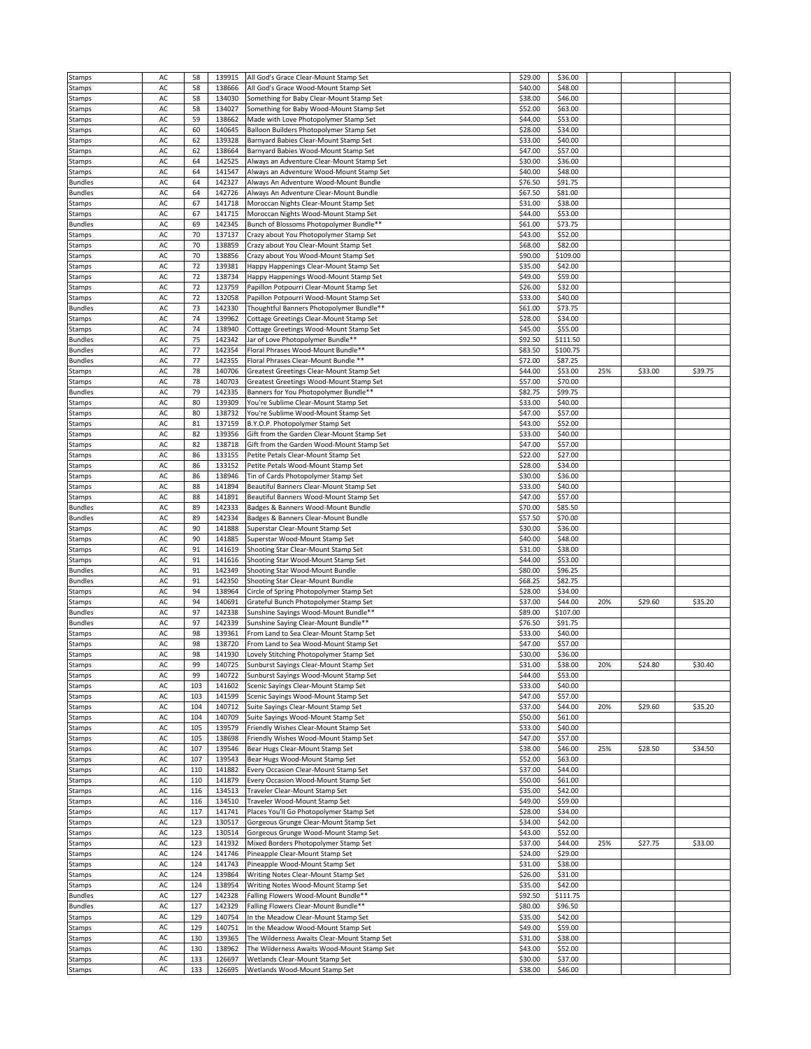|                  | AC |     | 139915 |                                             |         |          |     |         |         |
|------------------|----|-----|--------|---------------------------------------------|---------|----------|-----|---------|---------|
| Stamps           |    | 58  |        | All God's Grace Clear-Mount Stamp Set       | \$29.00 | \$36.00  |     |         |         |
| Stamps           | AC | 58  | 138666 | All God's Grace Wood-Mount Stamp Set        | \$40.00 | \$48.00  |     |         |         |
| Stamps           | AC | 58  | 134030 | Something for Baby Clear-Mount Stamp Set    | \$38.00 | \$46.00  |     |         |         |
|                  |    |     |        |                                             |         |          |     |         |         |
| Stamps           | AC | 58  | 134027 | Something for Baby Wood-Mount Stamp Set     | \$52.00 | \$63.00  |     |         |         |
| Stamps           | AC | 59  | 138662 | Made with Love Photopolymer Stamp Set       | \$44.00 | \$53.00  |     |         |         |
|                  |    |     |        |                                             |         |          |     |         |         |
| Stamps           | AC | 60  | 140645 | Balloon Builders Photopolymer Stamp Set     | \$28.00 | \$34.00  |     |         |         |
| Stamps           | AC | 62  | 139328 | Barnyard Babies Clear-Mount Stamp Set       | \$33.00 | \$40.00  |     |         |         |
|                  |    |     |        |                                             |         |          |     |         |         |
| Stamps           | AC | 62  | 138664 | Barnyard Babies Wood-Mount Stamp Set        | \$47.00 | \$57.00  |     |         |         |
| Stamps           | AC | 64  | 142525 | Always an Adventure Clear-Mount Stamp Set   | \$30.00 | \$36.00  |     |         |         |
|                  |    |     |        |                                             |         |          |     |         |         |
| Stamps           | AC | 64  | 141547 | Always an Adventure Wood-Mount Stamp Set    | \$40.00 | \$48.00  |     |         |         |
| <b>Bundles</b>   | AC | 64  | 142327 | Always An Adventure Wood-Mount Bundle       | \$76.50 | \$91.75  |     |         |         |
| <b>Bundles</b>   | AC | 64  | 142726 | Always An Adventure Clear-Mount Bundle      | \$67.50 | \$81.00  |     |         |         |
|                  |    |     |        |                                             |         |          |     |         |         |
| Stamps           | AC | 67  | 141718 | Moroccan Nights Clear-Mount Stamp Set       | \$31.00 | \$38.00  |     |         |         |
| Stamps           | AC | 67  | 141715 | Moroccan Nights Wood-Mount Stamp Set        | \$44.00 | \$53.00  |     |         |         |
|                  |    |     |        |                                             |         |          |     |         |         |
| <b>Bundles</b>   | AC | 69  | 142345 | Bunch of Blossoms Photopolymer Bundle**     | \$61.00 | \$73.75  |     |         |         |
| Stamps           | AC | 70  | 137137 | Crazy about You Photopolymer Stamp Set      | \$43.00 | \$52.00  |     |         |         |
|                  |    |     |        |                                             |         |          |     |         |         |
| Stamps           | AC | 70  | 138859 | Crazy about You Clear-Mount Stamp Set       | \$68.00 | \$82.00  |     |         |         |
| Stamps           | AC | 70  | 138856 | Crazy about You Wood-Mount Stamp Set        | \$90.00 | \$109.00 |     |         |         |
| Stamps           | AC | 72  | 139381 | Happy Happenings Clear-Mount Stamp Set      | \$35.00 | \$42.00  |     |         |         |
|                  |    |     |        |                                             |         |          |     |         |         |
| Stamps           | AC | 72  | 138734 | Happy Happenings Wood-Mount Stamp Set       | \$49.00 | \$59.00  |     |         |         |
| Stamps           | AC | 72  | 123759 | Papillon Potpourri Clear-Mount Stamp Set    | \$26.00 | \$32.00  |     |         |         |
|                  |    |     |        |                                             |         |          |     |         |         |
| Stamps           | AC | 72  | 132058 | Papillon Potpourri Wood-Mount Stamp Set     | \$33.00 | \$40.00  |     |         |         |
| <b>Bundles</b>   | AC | 73  | 142330 | Thoughtful Banners Photopolymer Bundle**    | \$61.00 | \$73.75  |     |         |         |
|                  |    | 74  |        |                                             |         |          |     |         |         |
| Stamps           | AC |     | 139962 | Cottage Greetings Clear-Mount Stamp Set     | \$28.00 | \$34.00  |     |         |         |
| Stamps           | AC | 74  | 138940 | Cottage Greetings Wood-Mount Stamp Set      | \$45.00 | \$55.00  |     |         |         |
|                  |    |     |        |                                             |         |          |     |         |         |
| <b>Bundles</b>   | AC | 75  | 142342 | Jar of Love Photopolymer Bundle**           | \$92.50 | \$111.50 |     |         |         |
| <b>Bundles</b>   | AC | 77  | 142354 | Floral Phrases Wood-Mount Bundle**          | \$83.50 | \$100.75 |     |         |         |
| <b>Bundles</b>   | AC | 77  | 142355 | Floral Phrases Clear-Mount Bundle **        | \$72.00 | \$87.25  |     |         |         |
|                  |    |     |        |                                             |         |          |     |         |         |
| Stamps           | AC | 78  | 140706 | Greatest Greetings Clear-Mount Stamp Set    | \$44.00 | \$53.00  | 25% | \$33.00 | \$39.75 |
| Stamps           | AC | 78  | 140703 | Greatest Greetings Wood-Mount Stamp Set     | \$57.00 | \$70.00  |     |         |         |
|                  |    |     |        |                                             |         |          |     |         |         |
| <b>Bundles</b>   | AC | 79  | 142335 | Banners for You Photopolymer Bundle**       | \$82.75 | \$99.75  |     |         |         |
| Stamps           | AC | 80  | 139309 | You're Sublime Clear-Mount Stamp Set        | \$33.00 | \$40.00  |     |         |         |
|                  |    |     |        |                                             |         |          |     |         |         |
| Stamps           | AC | 80  | 138732 | You're Sublime Wood-Mount Stamp Set         | \$47.00 | \$57.00  |     |         |         |
| Stamps           | AC | 81  | 137159 | B.Y.O.P. Photopolymer Stamp Set             | \$43.00 | \$52.00  |     |         |         |
|                  |    |     |        |                                             |         |          |     |         |         |
| Stamps           | AC | 82  | 139356 | Gift from the Garden Clear-Mount Stamp Set  | \$33.00 | \$40.00  |     |         |         |
| Stamps           | AC | 82  | 138718 | Gift from the Garden Wood-Mount Stamp Set   | \$47.00 | \$57.00  |     |         |         |
|                  |    |     |        |                                             |         |          |     |         |         |
| Stamps           | AC | 86  | 133155 | Petite Petals Clear-Mount Stamp Set         | \$22.00 | \$27.00  |     |         |         |
| Stamps           | AC | 86  | 133152 | Petite Petals Wood-Mount Stamp Set          | \$28.00 | \$34.00  |     |         |         |
|                  |    |     |        |                                             |         |          |     |         |         |
| Stamps           | AC | 86  | 138946 | Tin of Cards Photopolymer Stamp Set         | \$30.00 | \$36.00  |     |         |         |
| Stamps           | AC | 88  | 141894 | Beautiful Banners Clear-Mount Stamp Set     | \$33.00 | \$40.00  |     |         |         |
|                  |    |     |        |                                             |         |          |     |         |         |
| Stamps           | AC | 88  | 141891 | Beautiful Banners Wood-Mount Stamp Set      | \$47.00 | \$57.00  |     |         |         |
| <b>Bundles</b>   | AC | 89  | 142333 | Badges & Banners Wood-Mount Bundle          | \$70.00 | \$85.50  |     |         |         |
|                  |    |     |        |                                             |         |          |     |         |         |
| <b>Bundles</b>   | AC | 89  | 142334 | Badges & Banners Clear-Mount Bundle         | \$57.50 | \$70.00  |     |         |         |
| Stamps           | AC | 90  | 141888 | Superstar Clear-Mount Stamp Set             | \$30.00 | \$36.00  |     |         |         |
|                  | AC | 90  | 141885 |                                             |         | \$48.00  |     |         |         |
| Stamps           |    |     |        | Superstar Wood-Mount Stamp Set              | \$40.00 |          |     |         |         |
| Stamps           | AC | 91  | 141619 | Shooting Star Clear-Mount Stamp Set         | \$31.00 | \$38.00  |     |         |         |
| Stamps           | AC | 91  | 141616 | Shooting Star Wood-Mount Stamp Set          | \$44.00 | \$53.00  |     |         |         |
|                  |    |     |        |                                             |         |          |     |         |         |
| <b>Bundles</b>   | AC | 91  | 142349 | Shooting Star Wood-Mount Bundle             | \$80.00 | \$96.25  |     |         |         |
| <b>Bundles</b>   | AC | 91  | 142350 | Shooting Star Clear-Mount Bundle            | \$68.25 | \$82.75  |     |         |         |
|                  |    |     |        |                                             |         |          |     |         |         |
| Stamps           | AC | 94  | 138964 | Circle of Spring Photopolymer Stamp Set     | \$28.00 | \$34.00  |     |         |         |
| Stamps           | AC | 94  | 140691 | Grateful Bunch Photopolymer Stamp Set       | \$37.00 | \$44.00  | 20% | \$29.60 | \$35.20 |
|                  |    |     |        |                                             |         |          |     |         |         |
| <b>Bundles</b>   | AC | 97  | 142338 | Sunshine Sayings Wood-Mount Bundle**        | \$89.00 | \$107.00 |     |         |         |
| <b>Bundles</b>   | AC | 97  | 142339 | Sunshine Saying Clear-Mount Bundle**        | \$76.50 | \$91.75  |     |         |         |
|                  |    | 98  |        |                                             |         | \$40.00  |     |         |         |
| Stamps           | AC |     | 139361 | From Land to Sea Clear-Mount Stamp Set      | \$33.00 |          |     |         |         |
| Stamps           | AC | 98  | 138720 | From Land to Sea Wood-Mount Stamp Set       | \$47.00 | \$57.00  |     |         |         |
| Stamps           | AC | 98  | 141930 | Lovely Stitching Photopolymer Stamp Set     | \$30.00 | \$36.00  |     |         |         |
|                  |    |     |        |                                             |         |          |     |         |         |
| Stamps           | AC | 99  | 140725 | Sunburst Sayings Clear-Mount Stamp Set      | \$31.00 | \$38.00  | 20% | \$24.80 | \$30.40 |
| Stamps           | AC | 99  | 140722 | Sunburst Sayings Wood-Mount Stamp Set       | \$44.00 | \$53.00  |     |         |         |
|                  |    |     |        |                                             |         |          |     |         |         |
| Stamps           | AC | 103 | 141602 | Scenic Sayings Clear-Mount Stamp Set        | \$33.00 | \$40.00  |     |         |         |
| Stamps           | AC | 103 | 141599 | Scenic Sayings Wood-Mount Stamp Set         | \$47.00 | \$57.00  |     |         |         |
|                  | AC | 104 | 140712 | Suite Sayings Clear-Mount Stamp Set         | \$37.00 | \$44.00  | 20% | \$29.60 | \$35.20 |
| Stamps           |    |     |        |                                             |         |          |     |         |         |
| Stamps           | AC | 104 | 140709 | Suite Sayings Wood-Mount Stamp Set          | \$50.00 | \$61.00  |     |         |         |
| Stamps           | AC | 105 | 139579 | Friendly Wishes Clear-Mount Stamp Set       | \$33.00 | \$40.00  |     |         |         |
|                  |    |     |        |                                             |         |          |     |         |         |
| Stamps           | AC | 105 | 138698 | Friendly Wishes Wood-Mount Stamp Set        | \$47.00 | \$57.00  |     |         |         |
| Stamps           | AC | 107 | 139546 | Bear Hugs Clear-Mount Stamp Set             | \$38.00 | \$46.00  | 25% | \$28.50 | \$34.50 |
|                  |    |     |        |                                             |         |          |     |         |         |
| Stamps           | AC | 107 | 139543 | Bear Hugs Wood-Mount Stamp Set              | \$52.00 | \$63.00  |     |         |         |
| Stamps           | AC | 110 | 141882 | Every Occasion Clear-Mount Stamp Set        | \$37.00 | \$44.00  |     |         |         |
|                  | AC |     |        |                                             |         |          |     |         |         |
| Stamps           |    | 110 | 141879 | Every Occasion Wood-Mount Stamp Set         | \$50.00 | \$61.00  |     |         |         |
| Stamps           | AC | 116 | 134513 | Traveler Clear-Mount Stamp Set              | \$35.00 | \$42.00  |     |         |         |
| Stamps           | AC | 116 | 134510 | Traveler Wood-Mount Stamp Set               | \$49.00 | \$59.00  |     |         |         |
|                  |    |     |        |                                             |         |          |     |         |         |
| Stamps           | AC | 117 | 141741 | Places You'll Go Photopolymer Stamp Set     | \$28.00 | \$34.00  |     |         |         |
| Stamps           | AC | 123 | 130517 | Gorgeous Grunge Clear-Mount Stamp Set       | \$34.00 | \$42.00  |     |         |         |
|                  |    |     |        |                                             |         |          |     |         |         |
| Stamps           | AC | 123 | 130514 | Gorgeous Grunge Wood-Mount Stamp Set        | \$43.00 | \$52.00  |     |         |         |
| Stamps           | AC | 123 | 141932 | Mixed Borders Photopolymer Stamp Set        | \$37.00 | \$44.00  | 25% | \$27.75 | \$33.00 |
|                  |    |     |        |                                             |         |          |     |         |         |
| Stamps           | AC | 124 | 141746 | Pineapple Clear-Mount Stamp Set             | \$24.00 | \$29.00  |     |         |         |
| Stamps           | AC | 124 | 141743 | Pineapple Wood-Mount Stamp Set              | \$31.00 | \$38.00  |     |         |         |
|                  |    |     |        |                                             |         |          |     |         |         |
| Stamps           | AC | 124 | 139864 | Writing Notes Clear-Mount Stamp Set         | \$26.00 | \$31.00  |     |         |         |
| Stamps           | AC | 124 | 138954 | Writing Notes Wood-Mount Stamp Set          | \$35.00 | \$42.00  |     |         |         |
|                  |    |     |        |                                             |         |          |     |         |         |
| <b>Bundles</b>   | AC | 127 | 142328 | Falling Flowers Wood-Mount Bundle**         | \$92.50 | \$111.75 |     |         |         |
| <b>Bundles</b>   | AC | 127 | 142329 | Falling Flowers Clear-Mount Bundle**        | \$80.00 | \$96.50  |     |         |         |
|                  |    |     |        |                                             |         |          |     |         |         |
| Stamps           | AC | 129 | 140754 | In the Meadow Clear-Mount Stamp Set         | \$35.00 | \$42.00  |     |         |         |
| Stamps           | AC | 129 | 140751 | In the Meadow Wood-Mount Stamp Set          | \$49.00 | \$59.00  |     |         |         |
|                  | AC |     |        |                                             |         |          |     |         |         |
| Stamps           |    | 130 | 139365 | The Wilderness Awaits Clear-Mount Stamp Set | \$31.00 | \$38.00  |     |         |         |
| Stamps           | AC | 130 | 138962 | The Wilderness Awaits Wood-Mount Stamp Set  | \$43.00 | \$52.00  |     |         |         |
|                  | AC | 133 | 126697 | Wetlands Clear-Mount Stamp Set              | \$30.00 | \$37.00  |     |         |         |
|                  |    |     |        |                                             |         |          |     |         |         |
| Stamps<br>Stamps | AC | 133 | 126695 | Wetlands Wood-Mount Stamp Set               | \$38.00 | \$46.00  |     |         |         |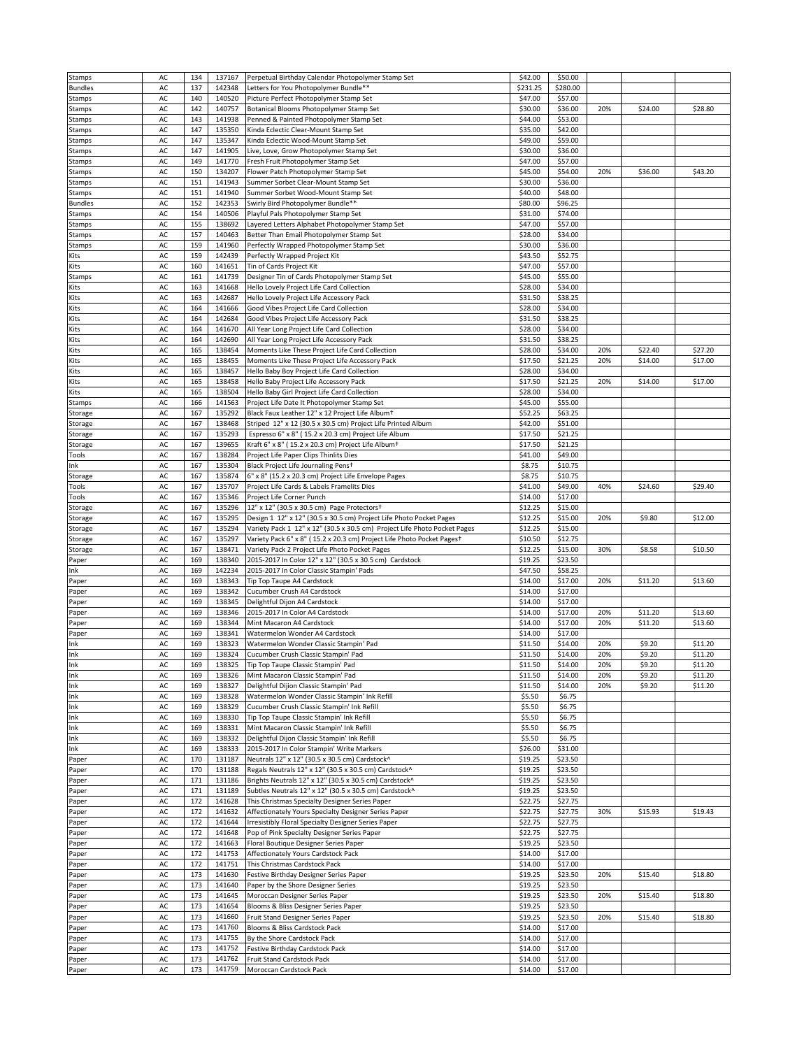| Stamps         | AC       | 134        | 137167           | Perpetual Birthday Calendar Photopolymer Stamp Set                        | \$42.00            | \$50.00            |     |         |         |
|----------------|----------|------------|------------------|---------------------------------------------------------------------------|--------------------|--------------------|-----|---------|---------|
| <b>Bundles</b> | AC       | 137        | 142348           | Letters for You Photopolymer Bundle**                                     | \$231.25           | \$280.00           |     |         |         |
|                | AC       | 140        | 140520           |                                                                           | \$47.00            |                    |     |         |         |
| Stamps         |          |            |                  | Picture Perfect Photopolymer Stamp Set                                    |                    | \$57.00            |     |         |         |
| Stamps         | AC       | 142        | 140757           | Botanical Blooms Photopolymer Stamp Set                                   | \$30.00            | \$36.00            | 20% | \$24.00 | \$28.80 |
| Stamps         | AC       | 143        | 141938           | Penned & Painted Photopolymer Stamp Set                                   | \$44.00            | \$53.00            |     |         |         |
| Stamps         | AC       | 147        | 135350           | Kinda Eclectic Clear-Mount Stamp Set                                      | \$35.00            | \$42.00            |     |         |         |
| Stamps         | AC       | 147        | 135347           | Kinda Eclectic Wood-Mount Stamp Set                                       | \$49.00            | \$59.00            |     |         |         |
| Stamps         | AC       | 147        | 141905           | Live, Love, Grow Photopolymer Stamp Set                                   | \$30.00            | \$36.00            |     |         |         |
|                | AC       |            |                  |                                                                           |                    |                    |     |         |         |
| Stamps         |          | 149        | 141770           | Fresh Fruit Photopolymer Stamp Set                                        | \$47.00            | \$57.00            |     |         |         |
| Stamps         | AC       | 150        | 134207           | Flower Patch Photopolymer Stamp Set                                       | \$45.00            | \$54.00            | 20% | \$36.00 | \$43.20 |
| Stamps         | AC       | 151        | 141943           | Summer Sorbet Clear-Mount Stamp Set                                       | \$30.00            | \$36.00            |     |         |         |
| Stamps         | AC       | 151        | 141940           | Summer Sorbet Wood-Mount Stamp Set                                        | \$40.00            | \$48.00            |     |         |         |
| <b>Bundles</b> | AC       | 152        | 142353           | Swirly Bird Photopolymer Bundle**                                         | \$80.00            | \$96.25            |     |         |         |
| Stamps         | AC       | 154        | 140506           | Playful Pals Photopolymer Stamp Set                                       | \$31.00            | \$74.00            |     |         |         |
|                |          |            |                  |                                                                           |                    |                    |     |         |         |
| Stamps         | AC       | 155        | 138692           | Layered Letters Alphabet Photopolymer Stamp Set                           | \$47.00            | \$57.00            |     |         |         |
| Stamps         | AC       | 157        | 140463           | Better Than Email Photopolymer Stamp Set                                  | \$28.00            | \$34.00            |     |         |         |
| Stamps         | AC       | 159        | 141960           | Perfectly Wrapped Photopolymer Stamp Set                                  | \$30.00            | \$36.00            |     |         |         |
| Kits           | AC       | 159        | 142439           | Perfectly Wrapped Project Kit                                             | \$43.50            | \$52.75            |     |         |         |
| Kits           | AC       | 160        | 141651           | Tin of Cards Project Kit                                                  | \$47.00            | \$57.00            |     |         |         |
|                |          |            |                  |                                                                           |                    |                    |     |         |         |
| Stamps         | AC       | 161        | 141739           | Designer Tin of Cards Photopolymer Stamp Set                              | \$45.00            | \$55.00            |     |         |         |
| Kits           | AC       | 163        | 141668           | Hello Lovely Project Life Card Collection                                 | \$28.00            | \$34.00            |     |         |         |
| Kits           | AC       | 163        | 142687           | Hello Lovely Project Life Accessory Pack                                  | \$31.50            | \$38.25            |     |         |         |
| Kits           | AC       | 164        | 141666           | Good Vibes Project Life Card Collection                                   | \$28.00            | \$34.00            |     |         |         |
| Kits           | AC       | 164        | 142684           | Good Vibes Project Life Accessory Pack                                    | \$31.50            | \$38.25            |     |         |         |
|                |          |            |                  |                                                                           |                    |                    |     |         |         |
| Kits           | AC       | 164        | 141670           | All Year Long Project Life Card Collection                                | \$28.00            | \$34.00            |     |         |         |
| Kits           | AC       | 164        | 142690           | All Year Long Project Life Accessory Pack                                 | \$31.50            | \$38.25            |     |         |         |
| Kits           | AC       | 165        | 138454           | Moments Like These Project Life Card Collection                           | \$28.00            | \$34.00            | 20% | \$22.40 | \$27.20 |
| Kits           | AC       | 165        | 138455           | Moments Like These Project Life Accessory Pack                            | \$17.50            | \$21.25            | 20% | \$14.00 | \$17.00 |
| Kits           | AC       | 165        | 138457           | Hello Baby Boy Project Life Card Collection                               | \$28.00            | \$34.00            |     |         |         |
|                | AC       | 165        | 138458           |                                                                           | \$17.50            | \$21.25            |     | \$14.00 | \$17.00 |
| Kits           |          |            |                  | Hello Baby Project Life Accessory Pack                                    |                    |                    | 20% |         |         |
| Kits           | AC       | 165        | 138504           | Hello Baby Girl Project Life Card Collection                              | \$28.00            | \$34.00            |     |         |         |
| Stamps         | AC       | 166        | 141563           | Project Life Date It Photopolymer Stamp Set                               | \$45.00            | \$55.00            |     |         |         |
| Storage        | AC       | 167        | 135292           | Black Faux Leather 12" x 12 Project Life Album <sup>+</sup>               | \$52.25            | \$63.25            |     |         |         |
| Storage        | AC       | 167        | 138468           | Striped 12" x 12 (30.5 x 30.5 cm) Project Life Printed Album              | \$42.00            | \$51.00            |     |         |         |
| Storage        | AC       | 167        | 135293           | Espresso 6" x 8" (15.2 x 20.3 cm) Project Life Album                      | \$17.50            | \$21.25            |     |         |         |
|                |          |            |                  |                                                                           |                    |                    |     |         |         |
| Storage        | AC       | 167        | 139655           | Kraft 6" x 8" (15.2 x 20.3 cm) Project Life Album <sup>+</sup>            | \$17.50            | \$21.25            |     |         |         |
| Tools          | AC       | 167        | 138284           | Project Life Paper Clips Thinlits Dies                                    | \$41.00            | \$49.00            |     |         |         |
| Ink            | AC       | 167        | 135304           | Black Project Life Journaling Pens+                                       | \$8.75             | \$10.75            |     |         |         |
| Storage        | AC       | 167        | 135874           | 6" x 8" (15.2 x 20.3 cm) Project Life Envelope Pages                      | \$8.75             | \$10.75            |     |         |         |
| Tools          | AC       | 167        | 135707           | Project Life Cards & Labels Framelits Dies                                | \$41.00            | \$49.00            | 40% | \$24.60 | \$29.40 |
|                |          |            |                  |                                                                           |                    |                    |     |         |         |
| Tools          | AC       | 167        | 135346           | Project Life Corner Punch                                                 | \$14.00            | \$17.00            |     |         |         |
| Storage        | AC       | 167        | 135296           | 12" x 12" (30.5 x 30.5 cm) Page Protectors+                               | \$12.25            | \$15.00            |     |         |         |
| Storage        | AC       | 167        | 135295           | Design 1 12" x 12" (30.5 x 30.5 cm) Project Life Photo Pocket Pages       | \$12.25            | \$15.00            | 20% | \$9.80  | \$12.00 |
| Storage        | AC       | 167        | 135294           | Variety Pack 1 12" x 12" (30.5 x 30.5 cm) Project Life Photo Pocket Pages | \$12.25            | \$15.00            |     |         |         |
| Storage        | AC       | 167        | 135297           | Variety Pack 6" x 8" (15.2 x 20.3 cm) Project Life Photo Pocket Pages+    | \$10.50            | \$12.75            |     |         |         |
| Storage        | AC       | 167        | 138471           | Variety Pack 2 Project Life Photo Pocket Pages                            | \$12.25            | \$15.00            | 30% | \$8.58  | \$10.50 |
|                |          |            |                  |                                                                           |                    |                    |     |         |         |
| Paper          | AC       | 169        | 138340           | 2015-2017 In Color 12" x 12" (30.5 x 30.5 cm) Cardstock                   | \$19.25            | \$23.50            |     |         |         |
| Ink            | AC       | 169        | 142234           | 2015-2017 In Color Classic Stampin' Pads                                  | \$47.50            | \$58.25            |     |         |         |
| Paper          | AC       | 169        | 138343           | Tip Top Taupe A4 Cardstock                                                | \$14.00            | \$17.00            | 20% | \$11.20 | \$13.60 |
|                |          | 169        | 138342           | Cucumber Crush A4 Cardstock                                               | \$14.00            | \$17.00            |     |         |         |
|                |          |            |                  |                                                                           |                    |                    |     |         |         |
| Paper          | AC       |            |                  |                                                                           |                    |                    |     |         |         |
| Paper          | AC       | 169        | 138345           | Delightful Dijon A4 Cardstock                                             | \$14.00            | \$17.00            |     |         |         |
| Paper          | AC       | 169        | 138346           | 2015-2017 In Color A4 Cardstock                                           | \$14.00            | \$17.00            | 20% | \$11.20 | \$13.60 |
| Paper          | AC       | 169        | 138344           | Mint Macaron A4 Cardstock                                                 | \$14.00            | \$17.00            | 20% | \$11.20 | \$13.60 |
| Paper          | AC       | 169        | 138341           | Watermelon Wonder A4 Cardstock                                            | \$14.00            | \$17.00            |     |         |         |
| Ink            | AC       | 169        | 138323           | Watermelon Wonder Classic Stampin' Pad                                    | \$11.50            | \$14.00            | 20% | \$9.20  | \$11.20 |
|                |          |            |                  |                                                                           |                    |                    |     |         |         |
| Ink            | AC       | 169        | 138324           | Cucumber Crush Classic Stampin' Pad                                       | \$11.50            | \$14.00            | 20% | \$9.20  | \$11.20 |
| Ink            | AC       | 169        | 138325           | Tip Top Taupe Classic Stampin' Pad                                        | \$11.50            | \$14.00            | 20% | \$9.20  | \$11.20 |
| Ink            | AC       | 169        |                  | 138326 Mint Macaron Classic Stampin' Pad                                  | \$11.50            | \$14.00            | 20% | \$9.20  | \$11.20 |
| Ink            | AC       | 169        | 138327           | Delightful Dijion Classic Stampin' Pad                                    | \$11.50            | \$14.00            | 20% | \$9.20  | \$11.20 |
| Ink            | AC       | 169        | 138328           | Watermelon Wonder Classic Stampin' Ink Refill                             | \$5.50             | \$6.75             |     |         |         |
|                |          |            |                  |                                                                           |                    |                    |     |         |         |
| Ink            | AC       | 169        | 138329           | Cucumber Crush Classic Stampin' Ink Refill                                | \$5.50             | \$6.75             |     |         |         |
| Ink            | AC       | 169        | 138330           | Tip Top Taupe Classic Stampin' Ink Refill                                 | \$5.50             | \$6.75             |     |         |         |
| Ink            | AC       | 169        | 138331           | Mint Macaron Classic Stampin' Ink Refill                                  | \$5.50             | \$6.75             |     |         |         |
| Ink            | AC       | 169        | 138332           | Delightful Dijon Classic Stampin' Ink Refill                              | \$5.50             | \$6.75             |     |         |         |
| Ink            | AC       | 169        | 138333           | 2015-2017 In Color Stampin' Write Markers                                 | \$26.00            | \$31.00            |     |         |         |
|                |          | 170        | 131187           |                                                                           | \$19.25            | \$23.50            |     |         |         |
| Paper          | AC       |            |                  | Neutrals 12" x 12" (30.5 x 30.5 cm) Cardstock^                            |                    |                    |     |         |         |
| Paper          | AC       | 170        | 131188           | Regals Neutrals 12" x 12" (30.5 x 30.5 cm) Cardstock^                     | \$19.25            | \$23.50            |     |         |         |
| Paper          | AC       | 171        | 131186           | Brights Neutrals 12" x 12" (30.5 x 30.5 cm) Cardstock^                    | \$19.25            | \$23.50            |     |         |         |
| Paper          | AC       | 171        | 131189           | Subtles Neutrals 12" x 12" (30.5 x 30.5 cm) Cardstock^                    | \$19.25            | \$23.50            |     |         |         |
| Paper          | AC       | 172        | 141628           | This Christmas Specialty Designer Series Paper                            | \$22.75            | \$27.75            |     |         |         |
| Paper          | AC       | 172        | 141632           | Affectionately Yours Specialty Designer Series Paper                      | \$22.75            | \$27.75            | 30% | \$15.93 | \$19.43 |
|                |          |            |                  |                                                                           |                    |                    |     |         |         |
| Paper          | AC       | 172        | 141644           | Irresistibly Floral Specialty Designer Series Paper                       | \$22.75            | \$27.75            |     |         |         |
| Paper          | AC       | 172        | 141648           | Pop of Pink Specialty Designer Series Paper                               | \$22.75            | \$27.75            |     |         |         |
| Paper          | AC       | 172        | 141663           | Floral Boutique Designer Series Paper                                     | \$19.25            | \$23.50            |     |         |         |
| Paper          | AC       | 172        | 141753           | Affectionately Yours Cardstock Pack                                       | \$14.00            | \$17.00            |     |         |         |
| Paper          | AC       | 172        | 141751           | This Christmas Cardstock Pack                                             | \$14.00            | \$17.00            |     |         |         |
|                |          |            | 141630           |                                                                           |                    |                    |     |         |         |
| Paper          | AC       | 173        |                  | Festive Birthday Designer Series Paper                                    | \$19.25            | \$23.50            | 20% | \$15.40 | \$18.80 |
| Paper          | AC       | 173        | 141640           | Paper by the Shore Designer Series                                        | \$19.25            | \$23.50            |     |         |         |
| Paper          | AC       | 173        | 141645           | Moroccan Designer Series Paper                                            | \$19.25            | \$23.50            | 20% | \$15.40 | \$18.80 |
| Paper          | AC       | 173        | 141654           | Blooms & Bliss Designer Series Paper                                      | \$19.25            | \$23.50            |     |         |         |
| Paper          | AC       | 173        | 141660           | Fruit Stand Designer Series Paper                                         | \$19.25            | \$23.50            | 20% | \$15.40 | \$18.80 |
|                |          |            |                  |                                                                           |                    |                    |     |         |         |
| Paper          | AC       | 173        | 141760           | Blooms & Bliss Cardstock Pack                                             | \$14.00            | \$17.00            |     |         |         |
| Paper          | AC       | 173        | 141755           | By the Shore Cardstock Pack                                               | \$14.00            | \$17.00            |     |         |         |
| Paper          | AC       | 173        | 141752           | Festive Birthday Cardstock Pack                                           | \$14.00            | \$17.00            |     |         |         |
| Paper<br>Paper | AC<br>AC | 173<br>173 | 141762<br>141759 | Fruit Stand Cardstock Pack<br>Moroccan Cardstock Pack                     | \$14.00<br>\$14.00 | \$17.00<br>\$17.00 |     |         |         |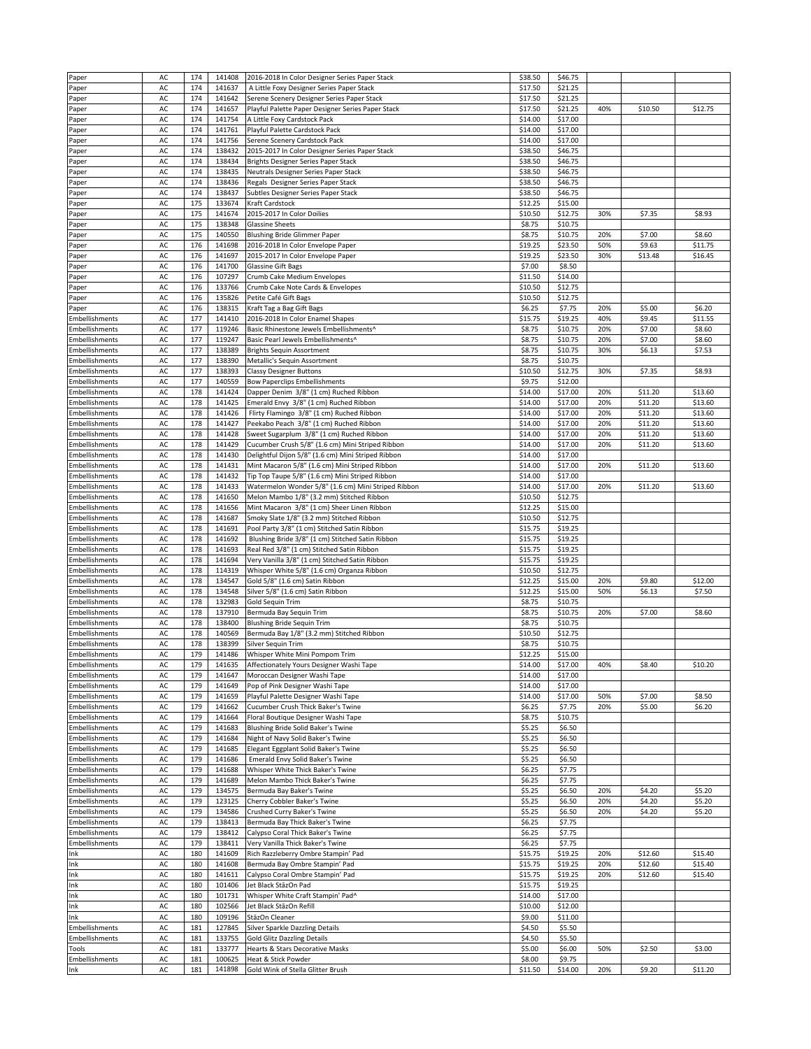| Paper                        | AC       | 174 | 141408 | 2016-2018 In Color Designer Series Paper Stack      | \$38.50 | \$46.75 |     |         |         |
|------------------------------|----------|-----|--------|-----------------------------------------------------|---------|---------|-----|---------|---------|
| Paper                        | AC       | 174 | 141637 | A Little Foxy Designer Series Paper Stack           | \$17.50 | \$21.25 |     |         |         |
|                              |          |     | 141642 |                                                     |         |         |     |         |         |
| Paper                        | AC       | 174 |        | Serene Scenery Designer Series Paper Stack          | \$17.50 | \$21.25 |     |         |         |
| Paper                        | AC       | 174 | 141657 | Playful Palette Paper Designer Series Paper Stack   | \$17.50 | \$21.25 | 40% | \$10.50 | \$12.75 |
| Paper                        | AC       | 174 | 141754 | A Little Foxy Cardstock Pack                        | \$14.00 | \$17.00 |     |         |         |
| Paper                        | AC       | 174 | 141761 | Playful Palette Cardstock Pack                      | \$14.00 | \$17.00 |     |         |         |
| Paper                        | AC       | 174 | 141756 | Serene Scenery Cardstock Pack                       | \$14.00 | \$17.00 |     |         |         |
|                              | AC       | 174 | 138432 | 2015-2017 In Color Designer Series Paper Stack      | \$38.50 | \$46.75 |     |         |         |
| Paper                        |          |     |        |                                                     |         |         |     |         |         |
| Paper                        | AC       | 174 | 138434 | Brights Designer Series Paper Stack                 | \$38.50 | \$46.75 |     |         |         |
| Paper                        | AC       | 174 | 138435 | Neutrals Designer Series Paper Stack                | \$38.50 | \$46.75 |     |         |         |
| Paper                        | AC       | 174 | 138436 | Regals Designer Series Paper Stack                  | \$38.50 | \$46.75 |     |         |         |
| Paper                        | AC       | 174 | 138437 | Subtles Designer Series Paper Stack                 | \$38.50 | \$46.75 |     |         |         |
|                              | AC       | 175 | 133674 | Kraft Cardstock                                     | \$12.25 | \$15.00 |     |         |         |
| Paper                        |          |     |        |                                                     |         |         |     |         |         |
| Paper                        | AC       | 175 | 141674 | 2015-2017 In Color Doilies                          | \$10.50 | \$12.75 | 30% | \$7.35  | \$8.93  |
| Paper                        | AC       | 175 | 138348 | <b>Glassine Sheets</b>                              | \$8.75  | \$10.75 |     |         |         |
| Paper                        | AC       | 175 | 140550 | <b>Blushing Bride Glimmer Paper</b>                 | \$8.75  | \$10.75 | 20% | \$7.00  | \$8.60  |
| Paper                        | AC       | 176 | 141698 | 2016-2018 In Color Envelope Paper                   | \$19.25 | \$23.50 | 50% | \$9.63  | \$11.75 |
| Paper                        | AC       | 176 | 141697 | 2015-2017 In Color Envelope Paper                   | \$19.25 | \$23.50 | 30% | \$13.48 | \$16.45 |
|                              |          |     |        |                                                     |         |         |     |         |         |
| Paper                        | AC       | 176 | 141700 | <b>Glassine Gift Bags</b>                           | \$7.00  | \$8.50  |     |         |         |
| Paper                        | AC       | 176 | 107297 | Crumb Cake Medium Envelopes                         | \$11.50 | \$14.00 |     |         |         |
| Paper                        | AC       | 176 | 133766 | Crumb Cake Note Cards & Envelopes                   | \$10.50 | \$12.75 |     |         |         |
| Paper                        | AC       | 176 | 135826 | Petite Café Gift Bags                               | \$10.50 | \$12.75 |     |         |         |
| Paper                        | AC       | 176 | 138315 | Kraft Tag a Bag Gift Bags                           | \$6.25  | \$7.75  | 20% | \$5.00  | \$6.20  |
|                              |          |     |        |                                                     |         |         |     |         |         |
| Embellishments               | AC       | 177 | 141410 | 2016-2018 In Color Enamel Shapes                    | \$15.75 | \$19.25 | 40% | \$9.45  | \$11.55 |
| <b>Embellishments</b>        | AC       | 177 | 119246 | Basic Rhinestone Jewels Embellishments^             | \$8.75  | \$10.75 | 20% | \$7.00  | \$8.60  |
| Embellishments               | AC       | 177 | 119247 | Basic Pearl Jewels Embellishments^                  | \$8.75  | \$10.75 | 20% | \$7.00  | \$8.60  |
| Embellishments               | AC       | 177 | 138389 | <b>Brights Sequin Assortment</b>                    | \$8.75  | \$10.75 | 30% | \$6.13  | \$7.53  |
|                              |          |     |        |                                                     |         |         |     |         |         |
| Embellishments               | AC       | 177 | 138390 | Metallic's Sequin Assortment                        | \$8.75  | \$10.75 |     |         |         |
| Embellishments               | AC       | 177 | 138393 | <b>Classy Designer Buttons</b>                      | \$10.50 | \$12.75 | 30% | \$7.35  | \$8.93  |
| Embellishments               | AC       | 177 | 140559 | <b>Bow Paperclips Embellishments</b>                | \$9.75  | \$12.00 |     |         |         |
| Embellishments               | AC       | 178 | 141424 | Dapper Denim 3/8" (1 cm) Ruched Ribbon              | \$14.00 | \$17.00 | 20% | \$11.20 | \$13.60 |
| Embellishments               | AC       | 178 | 141425 | Emerald Envy 3/8" (1 cm) Ruched Ribbon              | \$14.00 | \$17.00 | 20% | \$11.20 | \$13.60 |
|                              |          |     |        |                                                     |         |         |     |         |         |
| Embellishments               | AC       | 178 | 141426 | Flirty Flamingo 3/8" (1 cm) Ruched Ribbon           | \$14.00 | \$17.00 | 20% | \$11.20 | \$13.60 |
| Embellishments               | AC       | 178 | 141427 | Peekabo Peach 3/8" (1 cm) Ruched Ribbon             | \$14.00 | \$17.00 | 20% | \$11.20 | \$13.60 |
| Embellishments               | AC       | 178 | 141428 | Sweet Sugarplum 3/8" (1 cm) Ruched Ribbon           | \$14.00 | \$17.00 | 20% | \$11.20 | \$13.60 |
| Embellishments               | AC       | 178 | 141429 | Cucumber Crush 5/8" (1.6 cm) Mini Striped Ribbon    | \$14.00 | \$17.00 | 20% | \$11.20 | \$13.60 |
|                              |          |     |        |                                                     |         |         |     |         |         |
| Embellishments               | AC       | 178 | 141430 | Delightful Dijon 5/8" (1.6 cm) Mini Striped Ribbon  | \$14.00 | \$17.00 |     |         |         |
| Embellishments               | AC       | 178 | 141431 | Mint Macaron 5/8" (1.6 cm) Mini Striped Ribbon      | \$14.00 | \$17.00 | 20% | \$11.20 | \$13.60 |
| Embellishments               | AC       | 178 | 141432 | Tip Top Taupe 5/8" (1.6 cm) Mini Striped Ribbon     | \$14.00 | \$17.00 |     |         |         |
| Embellishments               | AC       | 178 | 141433 | Watermelon Wonder 5/8" (1.6 cm) Mini Striped Ribbon | \$14.00 | \$17.00 | 20% | \$11.20 | \$13.60 |
|                              |          |     |        |                                                     |         |         |     |         |         |
| Embellishments               | AC       | 178 | 141650 | Melon Mambo 1/8" (3.2 mm) Stitched Ribbon           | \$10.50 | \$12.75 |     |         |         |
| Embellishments               | AC       | 178 | 141656 | Mint Macaron 3/8" (1 cm) Sheer Linen Ribbon         | \$12.25 | \$15.00 |     |         |         |
| Embellishments               | AC       | 178 | 141687 | Smoky Slate 1/8" (3.2 mm) Stitched Ribbon           | \$10.50 | \$12.75 |     |         |         |
| Embellishments               | AC       | 178 | 141691 | Pool Party 3/8" (1 cm) Stitched Satin Ribbon        | \$15.75 | \$19.25 |     |         |         |
| Embellishments               | AC       | 178 | 141692 | Blushing Bride 3/8" (1 cm) Stitched Satin Ribbon    | \$15.75 | \$19.25 |     |         |         |
|                              |          |     |        |                                                     |         |         |     |         |         |
| Embellishments               | AC       | 178 | 141693 | Real Red 3/8" (1 cm) Stitched Satin Ribbon          | \$15.75 | \$19.25 |     |         |         |
| Embellishments               | AC       | 178 | 141694 | Very Vanilla 3/8" (1 cm) Stitched Satin Ribbon      | \$15.75 | \$19.25 |     |         |         |
| Embellishments               | AC       | 178 | 114319 | Whisper White 5/8" (1.6 cm) Organza Ribbon          | \$10.50 | \$12.75 |     |         |         |
| Embellishments               | AC       | 178 | 134547 | Gold 5/8" (1.6 cm) Satin Ribbon                     | \$12.25 | \$15.00 | 20% | \$9.80  | \$12.00 |
|                              |          |     |        |                                                     |         |         |     |         |         |
| Embellishments               | AC       | 178 | 134548 | Silver 5/8" (1.6 cm) Satin Ribbon                   | \$12.25 | \$15.00 | 50% | \$6.13  | \$7.50  |
| Embellishments               | AC       | 178 | 132983 | Gold Sequin Trim                                    | \$8.75  | \$10.75 |     |         |         |
| Embellishments               | AC       | 178 | 137910 | Bermuda Bay Sequin Trim                             | \$8.75  | \$10.75 | 20% | \$7.00  | \$8.60  |
| <b>Embellishments</b>        | AC       | 178 | 138400 | <b>Blushing Bride Sequin Trim</b>                   | \$8.75  | \$10.75 |     |         |         |
| Embellishments               | AC       | 178 | 140569 | Bermuda Bay 1/8" (3.2 mm) Stitched Ribbon           | \$10.50 | \$12.75 |     |         |         |
|                              |          |     |        |                                                     |         |         |     |         |         |
| Embellishments               | AC       | 178 | 138399 | Silver Sequin Trim                                  | \$8.75  | \$10.75 |     |         |         |
| Embellishments               | AC       | 179 | 141486 | Whisper White Mini Pompom Trim                      | \$12.25 | \$15.00 |     |         |         |
| Embellishments               | AC       | 179 | 141635 | Affectionately Yours Designer Washi Tape            | \$14.00 | \$17.00 | 40% | \$8.40  | \$10.20 |
| Embellishments               | AC       | 179 | 141647 | Moroccan Designer Washi Tape                        | \$14.00 | \$17.00 |     |         |         |
| Embellishments               | AC       | 179 | 141649 | Pop of Pink Designer Washi Tape                     | \$14.00 | \$17.00 |     |         |         |
|                              |          |     |        |                                                     |         |         |     |         |         |
| Embellishments               | AC       | 179 | 141659 | Playful Palette Designer Washi Tape                 | \$14.00 | \$17.00 | 50% | \$7.00  | \$8.50  |
| Embellishments               | AC       | 179 | 141662 | Cucumber Crush Thick Baker's Twine                  | \$6.25  | \$7.75  | 20% | \$5.00  | \$6.20  |
| <b>Embellishments</b>        | AC       | 179 | 141664 | Floral Boutique Designer Washi Tape                 | \$8.75  | \$10.75 |     |         |         |
| Embellishments               | AC       | 179 | 141683 | Blushing Bride Solid Baker's Twine                  | \$5.25  | \$6.50  |     |         |         |
| Embellishments               | AC       | 179 | 141684 | Night of Navy Solid Baker's Twine                   | \$5.25  | \$6.50  |     |         |         |
| Embellishments               | AC       | 179 | 141685 |                                                     |         |         |     |         |         |
|                              |          |     |        | Elegant Eggplant Solid Baker's Twine                | \$5.25  | \$6.50  |     |         |         |
| Embellishments               | AC       | 179 | 141686 | Emerald Envy Solid Baker's Twine                    | \$5.25  | \$6.50  |     |         |         |
| Embellishments               | AC       | 179 | 141688 | Whisper White Thick Baker's Twine                   | \$6.25  | \$7.75  |     |         |         |
| Embellishments               | AC       | 179 | 141689 | Melon Mambo Thick Baker's Twine                     | \$6.25  | \$7.75  |     |         |         |
| Embellishments               | AC       | 179 | 134575 | Bermuda Bay Baker's Twine                           | \$5.25  | \$6.50  | 20% | \$4.20  | \$5.20  |
| Embellishments               | AC       | 179 | 123125 | Cherry Cobbler Baker's Twine                        | \$5.25  | \$6.50  | 20% | \$4.20  | \$5.20  |
|                              |          |     |        |                                                     |         |         |     |         |         |
| Embellishments               | AC       | 179 | 134586 | Crushed Curry Baker's Twine                         | \$5.25  | \$6.50  | 20% | \$4.20  | \$5.20  |
| Embellishments               | AC       | 179 | 138413 | Bermuda Bay Thick Baker's Twine                     | \$6.25  | \$7.75  |     |         |         |
| Embellishments               | AC       | 179 | 138412 | Calypso Coral Thick Baker's Twine                   | \$6.25  | \$7.75  |     |         |         |
| Embellishments               | AC       | 179 | 138411 | Very Vanilla Thick Baker's Twine                    | \$6.25  | \$7.75  |     |         |         |
|                              |          |     |        |                                                     |         |         |     |         |         |
| Ink                          | AC       | 180 | 141609 | Rich Razzleberry Ombre Stampin' Pad                 | \$15.75 | \$19.25 | 20% | \$12.60 | \$15.40 |
| Ink                          | AC       | 180 | 141608 | Bermuda Bay Ombre Stampin' Pad                      | \$15.75 | \$19.25 | 20% | \$12.60 | \$15.40 |
| Ink                          | AC       | 180 | 141611 | Calypso Coral Ombre Stampin' Pad                    | \$15.75 | \$19.25 | 20% | \$12.60 | \$15.40 |
| Ink                          | AC       | 180 | 101406 | Jet Black StäzOn Pad                                | \$15.75 | \$19.25 |     |         |         |
| Ink                          | AC       | 180 | 101731 | Whisper White Craft Stampin' Pad^                   | \$14.00 | \$17.00 |     |         |         |
|                              |          |     |        |                                                     |         |         |     |         |         |
| Ink                          | AC       | 180 | 102566 | Jet Black StäzOn Refill                             | \$10.00 | \$12.00 |     |         |         |
| Ink                          | AC       | 180 | 109196 | StäzOn Cleaner                                      | \$9.00  | \$11.00 |     |         |         |
| Embellishments               | AC       | 181 | 127845 | Silver Sparkle Dazzling Details                     | \$4.50  | \$5.50  |     |         |         |
| Embellishments               | AC       | 181 | 133755 | <b>Gold Glitz Dazzling Details</b>                  | \$4.50  | \$5.50  |     |         |         |
| Tools                        | AC       | 181 | 133777 | Hearts & Stars Decorative Masks                     | \$5.00  | \$6.00  | 50% | \$2.50  | \$3.00  |
|                              |          | 181 |        |                                                     |         |         |     |         |         |
|                              |          |     | 100625 | Heat & Stick Powder                                 | \$8.00  | \$9.75  |     |         |         |
| <b>Embellishments</b><br>Ink | AC<br>AC | 181 | 141898 | Gold Wink of Stella Glitter Brush                   | \$11.50 | \$14.00 | 20% | \$9.20  | \$11.20 |